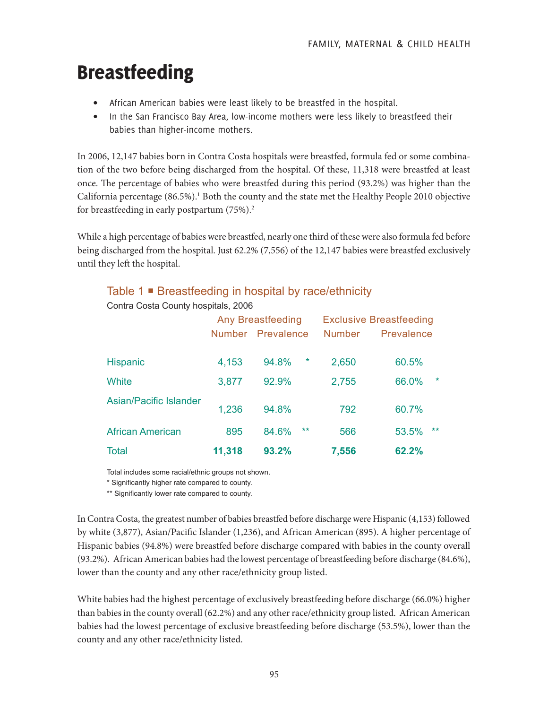# Breastfeeding

- African American babies were least likely to be breastfed in the hospital.
- In the San Francisco Bay Area, low-income mothers were less likely to breastfeed their babies than higher-income mothers.

In 2006, 12,147 babies born in Contra Costa hospitals were breastfed, formula fed or some combination of the two before being discharged from the hospital. Of these, 11,318 were breastfed at least once. The percentage of babies who were breastfed during this period (93.2%) was higher than the California percentage (86.5%).<sup>1</sup> Both the county and the state met the Healthy People 2010 objective for breastfeeding in early postpartum (75%).2

While a high percentage of babies were breastfed, nearly one third of these were also formula fed before being discharged from the hospital. Just 62.2% (7,556) of the 12,147 babies were breastfed exclusively until they left the hospital.

# Table 1 ■ Breastfeeding in hospital by race/ethnicity

|                               | <b>Any Breastfeeding</b> |                   |        | <b>Exclusive Breastfeeding</b> |            |         |
|-------------------------------|--------------------------|-------------------|--------|--------------------------------|------------|---------|
|                               |                          | Number Prevalence |        | <b>Number</b>                  | Prevalence |         |
| <b>Hispanic</b>               | 4,153                    | 94.8%             | $\ast$ | 2,650                          | 60.5%      |         |
| White                         | 3,877                    | 92.9%             |        | 2,755                          | 66.0%      | $\star$ |
| <b>Asian/Pacific Islander</b> | 1,236                    | 94.8%             |        | 792                            | 60.7%      |         |
| <b>African American</b>       | 895                      | 84.6%             | $***$  | 566                            | 53.5%      | $***$   |
| <b>Total</b>                  | 11,318                   | 93.2%             |        | 7,556                          | 62.2%      |         |

Contra Costa County hospitals, 2006

Total includes some racial/ethnic groups not shown.

\* Significantly higher rate compared to county.

\*\* Significantly lower rate compared to county.

In Contra Costa, the greatest number of babies breastfed before discharge were Hispanic (4,153) followed by white (3,877), Asian/Pacific Islander (1,236), and African American (895). A higher percentage of Hispanic babies (94.8%) were breastfed before discharge compared with babies in the county overall (93.2%). African American babies had the lowest percentage of breastfeeding before discharge (84.6%), lower than the county and any other race/ethnicity group listed.

White babies had the highest percentage of exclusively breastfeeding before discharge (66.0%) higher than babies in the county overall (62.2%) and any other race/ethnicity group listed. African American babies had the lowest percentage of exclusive breastfeeding before discharge (53.5%), lower than the county and any other race/ethnicity listed.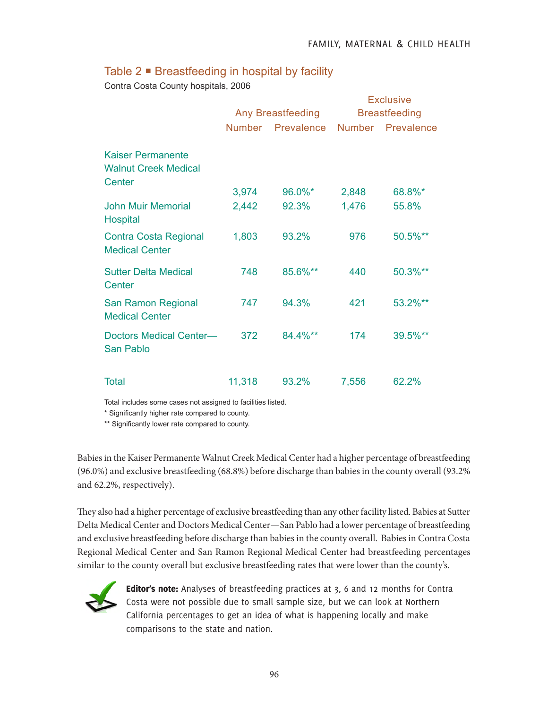## Table  $2 \blacksquare$  Breastfeeding in hospital by facility

Contra Costa County hospitals, 2006

|                                                                   | Any Breastfeeding |            | <b>Exclusive</b><br><b>Breastfeeding</b> |                   |
|-------------------------------------------------------------------|-------------------|------------|------------------------------------------|-------------------|
|                                                                   | <b>Number</b>     | Prevalence |                                          | Number Prevalence |
| <b>Kaiser Permanente</b><br><b>Walnut Creek Medical</b><br>Center |                   |            |                                          |                   |
|                                                                   | 3,974             | 96.0%*     | 2,848                                    | 68.8%*            |
| <b>John Muir Memorial</b><br><b>Hospital</b>                      | 2,442             | 92.3%      | 1,476                                    | 55.8%             |
| <b>Contra Costa Regional</b><br><b>Medical Center</b>             | 1,803             | 93.2%      | 976                                      | 50.5%**           |
| <b>Sutter Delta Medical</b><br>Center                             | 748               | 85.6%**    | 440                                      | 50.3%**           |
| <b>San Ramon Regional</b><br><b>Medical Center</b>                | 747               | 94.3%      | 421                                      | 53.2%**           |
| <b>Doctors Medical Center-</b><br><b>San Pablo</b>                | 372               | 84.4%**    | 174                                      | 39.5%**           |
| <b>Total</b>                                                      | 11,318            | 93.2%      | 7,556                                    | 62.2%             |

Total includes some cases not assigned to facilities listed.

\* Significantly higher rate compared to county.

\*\* Significantly lower rate compared to county.

Babies in the Kaiser Permanente Walnut Creek Medical Center had a higher percentage of breastfeeding (96.0%) and exclusive breastfeeding (68.8%) before discharge than babies in the county overall (93.2% and 62.2%, respectively).

They also had a higher percentage of exclusive breastfeeding than any other facility listed. Babies at Sutter Delta Medical Center and Doctors Medical Center—San Pablo had a lower percentage of breastfeeding and exclusive breastfeeding before discharge than babies in the county overall. Babies in Contra Costa Regional Medical Center and San Ramon Regional Medical Center had breastfeeding percentages similar to the county overall but exclusive breastfeeding rates that were lower than the county's.



Editor's note: Analyses of breastfeeding practices at 3, 6 and 12 months for Contra Costa were not possible due to small sample size, but we can look at Northern California percentages to get an idea of what is happening locally and make comparisons to the state and nation.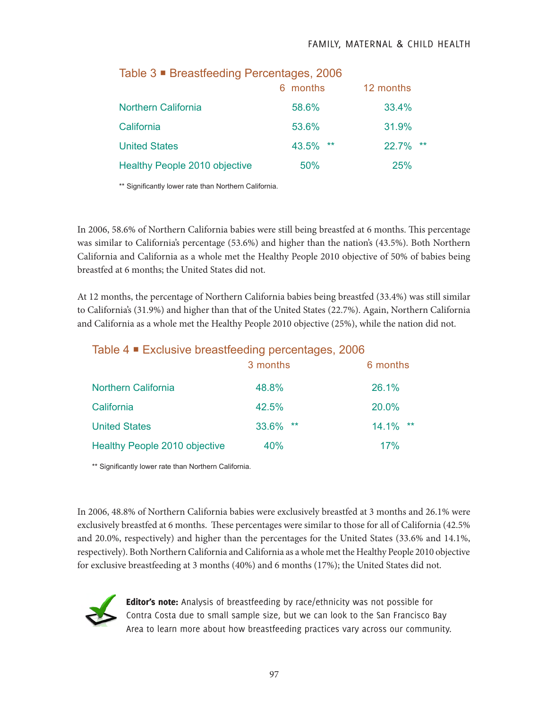#### FAMILY, MATERNAL & CHILD HEALTH

| <u>iable o – Dieasticeuilly i citelitages, ZUUU</u> |                |                |  |
|-----------------------------------------------------|----------------|----------------|--|
|                                                     | 6 months       | 12 months      |  |
| <b>Northern California</b>                          | 58.6%          | 33.4%          |  |
| California                                          | 53.6%          | 31.9%          |  |
| <b>United States</b>                                | 43.5%<br>$***$ | $***$<br>22.7% |  |
| Healthy People 2010 objective                       | 50%            | <b>25%</b>     |  |

## Table 3 Breastfeeding Percentages, 2006

\*\* Significantly lower rate than Northern California.

In 2006, 58.6% of Northern California babies were still being breastfed at 6 months. This percentage was similar to California's percentage (53.6%) and higher than the nation's (43.5%). Both Northern California and California as a whole met the Healthy People 2010 objective of 50% of babies being breastfed at 6 months; the United States did not.

At 12 months, the percentage of Northern California babies being breastfed (33.4%) was still similar to California's (31.9%) and higher than that of the United States (22.7%). Again, Northern California and California as a whole met the Healthy People 2010 objective (25%), while the nation did not.

# Table 4 Exclusive breastfeeding percentages, 2006

|                                      | 3 months       | 6 months    |
|--------------------------------------|----------------|-------------|
| <b>Northern California</b>           | 48.8%          | 26.1%       |
| California                           | 42.5%          | 20.0%       |
| <b>United States</b>                 | 33.6%<br>$***$ | $14.1\%$ ** |
| <b>Healthy People 2010 objective</b> | 40%            | 17%         |

\*\* Significantly lower rate than Northern California.

In 2006, 48.8% of Northern California babies were exclusively breastfed at 3 months and 26.1% were exclusively breastfed at 6 months. These percentages were similar to those for all of California (42.5% and 20.0%, respectively) and higher than the percentages for the United States (33.6% and 14.1%, respectively). Both Northern California and California as a whole met the Healthy People 2010 objective for exclusive breastfeeding at 3 months (40%) and 6 months (17%); the United States did not.



Editor's note: Analysis of breastfeeding by race/ethnicity was not possible for Contra Costa due to small sample size, but we can look to the San Francisco Bay Area to learn more about how breastfeeding practices vary across our community.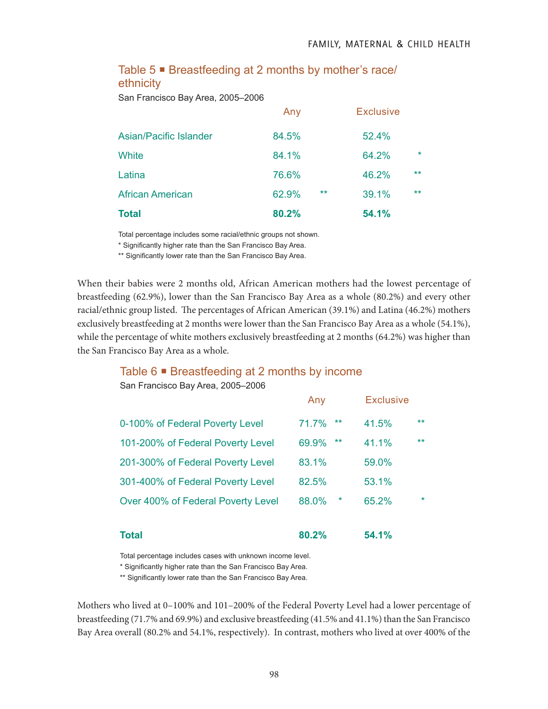### Table 5 ■ Breastfeeding at 2 months by mother's race/ ethnicity

San Francisco Bay Area, 2005–2006

| <b>Total</b>            | 80.2% | 54.1%                   |
|-------------------------|-------|-------------------------|
| <b>African American</b> | 62.9% | $***$<br>$***$<br>39.1% |
| Latina                  | 76.6% | $***$<br>46.2%          |
| White                   | 84.1% | $\star$<br>64.2%        |
| Asian/Pacific Islander  | 84.5% | 52.4%                   |
|                         | Any   | <b>Exclusive</b>        |

Total percentage includes some racial/ethnic groups not shown.

\* Significantly higher rate than the San Francisco Bay Area.

\*\* Significantly lower rate than the San Francisco Bay Area.

When their babies were 2 months old, African American mothers had the lowest percentage of breastfeeding (62.9%), lower than the San Francisco Bay Area as a whole (80.2%) and every other racial/ethnic group listed. The percentages of African American (39.1%) and Latina (46.2%) mothers exclusively breastfeeding at 2 months were lower than the San Francisco Bay Area as a whole (54.1%), while the percentage of white mothers exclusively breastfeeding at 2 months (64.2%) was higher than the San Francisco Bay Area as a whole.

#### Table 6  $\blacksquare$  Breastfeeding at 2 months by income

San Francisco Bay Area, 2005–2006

| <b>Total</b>                       | 80.2%           | 54.1%            |
|------------------------------------|-----------------|------------------|
| Over 400% of Federal Poverty Level | 88.0%<br>$\ast$ | $\star$<br>65.2% |
| 301-400% of Federal Poverty Level  | 82.5%           | 53.1%            |
| 201-300% of Federal Poverty Level  | 83.1%           | 59.0%            |
| 101-200% of Federal Poverty Level  | $***$<br>69.9%  | $***$<br>41.1%   |
| 0-100% of Federal Poverty Level    | $***$<br>71.7%  | $***$<br>41.5%   |
|                                    | Any             | <b>Exclusive</b> |

Total percentage includes cases with unknown income level.

\* Significantly higher rate than the San Francisco Bay Area.

\*\* Significantly lower rate than the San Francisco Bay Area.

Mothers who lived at 0–100% and 101–200% of the Federal Poverty Level had a lower percentage of breastfeeding (71.7% and 69.9%) and exclusive breastfeeding (41.5% and 41.1%) than the San Francisco Bay Area overall (80.2% and 54.1%, respectively). In contrast, mothers who lived at over 400% of the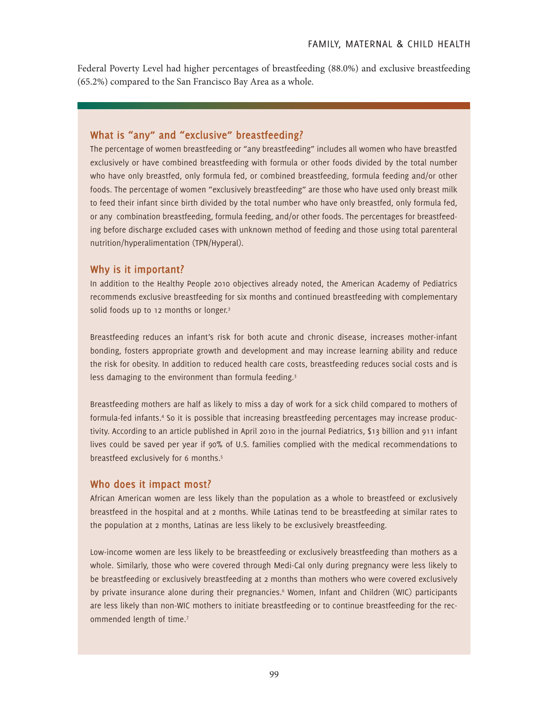Federal Poverty Level had higher percentages of breastfeeding (88.0%) and exclusive breastfeeding (65.2%) compared to the San Francisco Bay Area as a whole.

#### **What is "any" and "exclusive" breastfeeding?**

The percentage of women breastfeeding or "any breastfeeding" includes all women who have breastfed exclusively or have combined breastfeeding with formula or other foods divided by the total number who have only breastfed, only formula fed, or combined breastfeeding, formula feeding and/or other foods. The percentage of women "exclusively breastfeeding" are those who have used only breast milk to feed their infant since birth divided by the total number who have only breastfed, only formula fed, or any combination breastfeeding, formula feeding, and/or other foods. The percentages for breastfeeding before discharge excluded cases with unknown method of feeding and those using total parenteral nutrition/hyperalimentation (TPN/Hyperal).

#### **Why is it important?**

In addition to the Healthy People 2010 objectives already noted, the American Academy of Pediatrics recommends exclusive breastfeeding for six months and continued breastfeeding with complementary solid foods up to 12 months or longer.<sup>3</sup>

Breastfeeding reduces an infant's risk for both acute and chronic disease, increases mother-infant bonding, fosters appropriate growth and development and may increase learning ability and reduce the risk for obesity. In addition to reduced health care costs, breastfeeding reduces social costs and is less damaging to the environment than formula feeding.<sup>3</sup>

Breastfeeding mothers are half as likely to miss a day of work for a sick child compared to mothers of formula-fed infants.<sup>4</sup> So it is possible that increasing breastfeeding percentages may increase productivity. According to an article published in April 2010 in the journal Pediatrics, \$13 billion and 911 infant lives could be saved per year if 90% of U.S. families complied with the medical recommendations to breastfeed exclusively for 6 months.<sup>5</sup>

#### **Who does it impact most?**

African American women are less likely than the population as a whole to breastfeed or exclusively breastfeed in the hospital and at 2 months. While Latinas tend to be breastfeeding at similar rates to the population at 2 months, Latinas are less likely to be exclusively breastfeeding.

Low-income women are less likely to be breastfeeding or exclusively breastfeeding than mothers as a whole. Similarly, those who were covered through Medi-Cal only during pregnancy were less likely to be breastfeeding or exclusively breastfeeding at 2 months than mothers who were covered exclusively by private insurance alone during their pregnancies.<sup>6</sup> Women, Infant and Children (WIC) participants are less likely than non-WIC mothers to initiate breastfeeding or to continue breastfeeding for the recommended length of time.<sup>7</sup>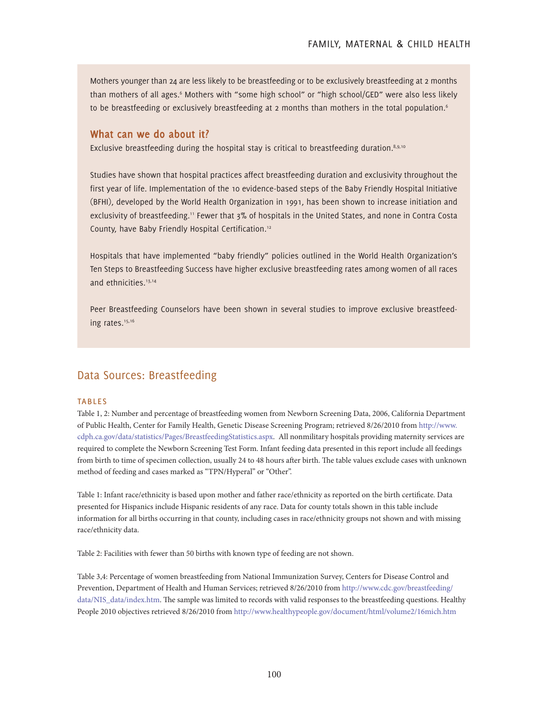Mothers younger than 24 are less likely to be breastfeeding or to be exclusively breastfeeding at 2 months than mothers of all ages.<sup>6</sup> Mothers with "some high school" or "high school/GED" were also less likely to be breastfeeding or exclusively breastfeeding at 2 months than mothers in the total population.<sup>6</sup>

#### **What can we do about it?**

Exclusive breastfeeding during the hospital stay is critical to breastfeeding duration. $8,9,10$ 

Studies have shown that hospital practices affect breastfeeding duration and exclusivity throughout the first year of life. Implementation of the 10 evidence-based steps of the Baby Friendly Hospital Initiative (BFHI), developed by the World Health Organization in 1991, has been shown to increase initiation and exclusivity of breastfeeding.<sup>11</sup> Fewer that 3% of hospitals in the United States, and none in Contra Costa County, have Baby Friendly Hospital Certification.12

Hospitals that have implemented "baby friendly" policies outlined in the World Health Organization's Ten Steps to Breastfeeding Success have higher exclusive breastfeeding rates among women of all races and ethnicities.<sup>13,14</sup>

Peer Breastfeeding Counselors have been shown in several studies to improve exclusive breastfeeding rates.<sup>15,16</sup>

### Data Sources: Breastfeeding

#### **TABLES**

Table 1, 2: Number and percentage of breastfeeding women from Newborn Screening Data, 2006, California Department of Public Health, Center for Family Health, Genetic Disease Screening Program; retrieved 8/26/2010 from http://www. cdph.ca.gov/data/statistics/Pages/BreastfeedingStatistics.aspx. All nonmilitary hospitals providing maternity services are required to complete the Newborn Screening Test Form. Infant feeding data presented in this report include all feedings from birth to time of specimen collection, usually 24 to 48 hours after birth. The table values exclude cases with unknown method of feeding and cases marked as "TPN/Hyperal" or "Other".

Table 1: Infant race/ethnicity is based upon mother and father race/ethnicity as reported on the birth certificate. Data presented for Hispanics include Hispanic residents of any race. Data for county totals shown in this table include information for all births occurring in that county, including cases in race/ethnicity groups not shown and with missing race/ethnicity data.

Table 2: Facilities with fewer than 50 births with known type of feeding are not shown.

Table 3,4: Percentage of women breastfeeding from National Immunization Survey, Centers for Disease Control and Prevention, Department of Health and Human Services; retrieved 8/26/2010 from http://www.cdc.gov/breastfeeding/ data/NIS\_data/index.htm. The sample was limited to records with valid responses to the breastfeeding questions. Healthy People 2010 objectives retrieved 8/26/2010 from http://www.healthypeople.gov/document/html/volume2/16mich.htm